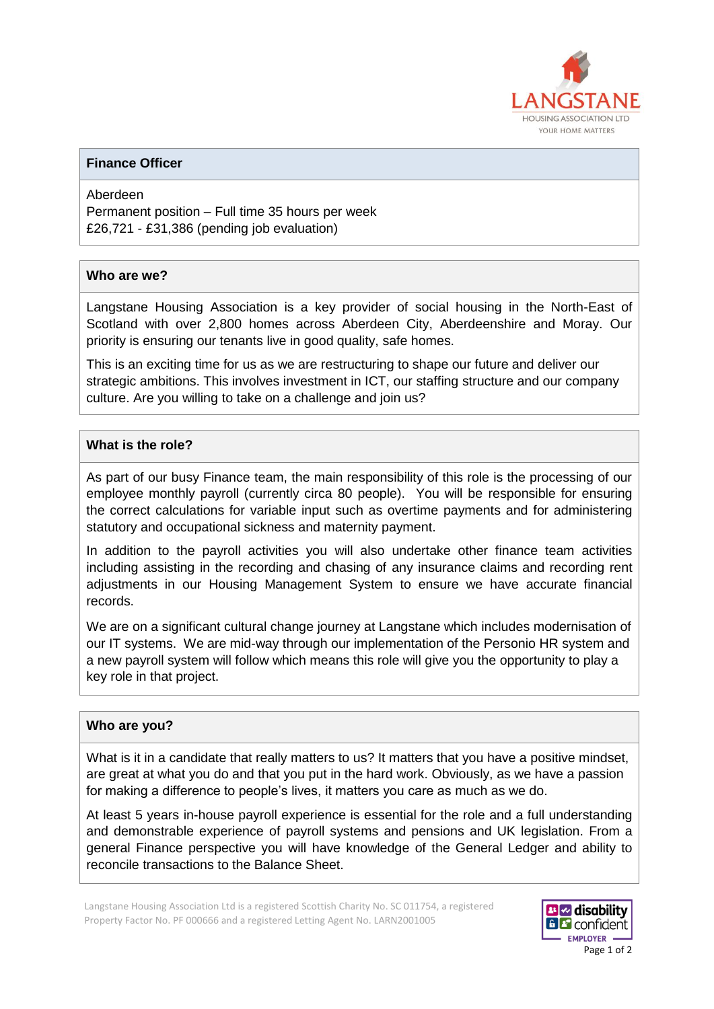

### **Finance Officer**

Aberdeen Permanent position – Full time 35 hours per week £26,721 - £31,386 (pending job evaluation)

#### **Who are we?**

Langstane Housing Association is a key provider of social housing in the North-East of Scotland with over 2,800 homes across Aberdeen City, Aberdeenshire and Moray. Our priority is ensuring our tenants live in good quality, safe homes.

This is an exciting time for us as we are restructuring to shape our future and deliver our strategic ambitions. This involves investment in ICT, our staffing structure and our company culture. Are you willing to take on a challenge and join us?

## **What is the role?**

As part of our busy Finance team, the main responsibility of this role is the processing of our employee monthly payroll (currently circa 80 people). You will be responsible for ensuring the correct calculations for variable input such as overtime payments and for administering statutory and occupational sickness and maternity payment.

In addition to the payroll activities you will also undertake other finance team activities including assisting in the recording and chasing of any insurance claims and recording rent adjustments in our Housing Management System to ensure we have accurate financial records.

We are on a significant cultural change journey at Langstane which includes modernisation of our IT systems. We are mid-way through our implementation of the Personio HR system and a new payroll system will follow which means this role will give you the opportunity to play a key role in that project.

#### **Who are you?**

What is it in a candidate that really matters to us? It matters that you have a positive mindset, are great at what you do and that you put in the hard work. Obviously, as we have a passion for making a difference to people's lives, it matters you care as much as we do.

At least 5 years in-house payroll experience is essential for the role and a full understanding and demonstrable experience of payroll systems and pensions and UK legislation. From a general Finance perspective you will have knowledge of the General Ledger and ability to reconcile transactions to the Balance Sheet.

Langstane Housing Association Ltd is a registered Scottish Charity No. SC 011754, a registered Property Factor No. PF 000666 and a registered Letting Agent No. LARN2001005